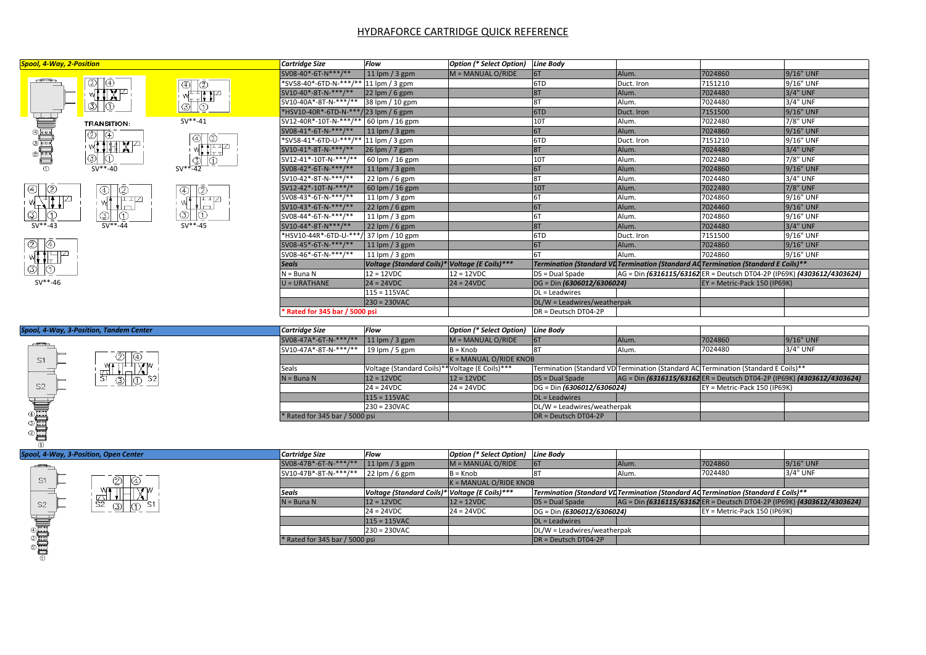## HYDRAFORCE CARTRIDGE QUICK REFERENCE

| <b>Spool, 4-Way, 2-Position</b>                                                                                                                                                                                                                                                                                                                     |                                                                |                                                       | Cartridge Size                           | <b>Flow</b>                                    | <b>Option (* Select Option)</b> | <b>Line Body</b>            |            |                                                                                    |              |
|-----------------------------------------------------------------------------------------------------------------------------------------------------------------------------------------------------------------------------------------------------------------------------------------------------------------------------------------------------|----------------------------------------------------------------|-------------------------------------------------------|------------------------------------------|------------------------------------------------|---------------------------------|-----------------------------|------------|------------------------------------------------------------------------------------|--------------|
|                                                                                                                                                                                                                                                                                                                                                     |                                                                |                                                       | SV08-40*-6T-N***/**                      | 11 $\mathsf{lpm}/3$ gpm                        | $M = MANUAL O/RIDE$             | 6T                          | Alum.      | 7024860                                                                            | 9/16" UNF    |
| $\overline{\phantom{a}}$<br><b>DELED</b>                                                                                                                                                                                                                                                                                                            | $\circledcirc$<br>۱⊕<br><b>LIX</b> P<br>ΙФ<br>$   \circledS  $ | ⊕∣<br>Ι©                                              | *SV58-40*-6TD-N-***/**  11 lpm / 3 gpm   |                                                |                                 | 6TD                         | Duct. Iron | 7151210                                                                            | 9/16" UNF    |
|                                                                                                                                                                                                                                                                                                                                                     |                                                                | 带非护<br>O<br>க                                         | SV10-40*-8T-N-***/**                     | $22$ lpm / 6 gpm                               |                                 | 8T                          | Alum.      | 7024480                                                                            | $3/4"$ UNF   |
|                                                                                                                                                                                                                                                                                                                                                     |                                                                |                                                       | SV10-40A*-8T-N-***/**                    | 38 lpm / 10 gpm                                |                                 | 8T                          | Alum.      | 7024480                                                                            | 3/4" UNF     |
|                                                                                                                                                                                                                                                                                                                                                     |                                                                |                                                       | *HSV10-40R*-6TD-N-***/ 23 lpm / 6 gpm    |                                                |                                 | 6TD                         | Duct. Iron | 7151500                                                                            | $9/16$ " UNF |
|                                                                                                                                                                                                                                                                                                                                                     | <b>TRANSITION:</b>                                             | $SV***-41$                                            | SV12-40R*-10T-N-***/**   60 lpm / 16 gpm |                                                |                                 | <b>10T</b>                  | Alum.      | 7022480                                                                            | 7/8" UNF     |
|                                                                                                                                                                                                                                                                                                                                                     | $\circledcirc$<br>IO)                                          | $\circledcirc$<br>1©<br>慷起了<br>ഥ<br>ல<br>$SV**-42$    | SV08-41*-6T-N-***/**                     | $11$ lpm $/$ 3 gpm                             |                                 | 6T                          | Alum.      | 7024860                                                                            | 9/16" UNF    |
|                                                                                                                                                                                                                                                                                                                                                     |                                                                |                                                       | *SV58-41*-6TD-U-***/** 11 lpm / 3 gpm    |                                                |                                 | 6TD                         | Duct. Iron | 7151210                                                                            | 9/16" UNF    |
|                                                                                                                                                                                                                                                                                                                                                     | $\Pi$ and $X$ $\vdash$                                         |                                                       | SV10-41*-8T-N-***/**                     | $26$ lpm $/7$ gpm                              |                                 | 8T                          | Alum.      | 7024480                                                                            | $3/4"$ UNF   |
|                                                                                                                                                                                                                                                                                                                                                     | கு⊩<br>$ 0\rangle$                                             |                                                       | SV12-41*-10T-N-***/**                    | 60 lpm / 16 gpm                                |                                 | 10T                         | Alum.      | 7022480                                                                            | 7/8" UNF     |
| $\circled{1}$                                                                                                                                                                                                                                                                                                                                       | $SV***-40$                                                     |                                                       | SV08-42*-6T-N-***/**                     | 11 $\mathsf{lpm}/3$ gpm                        |                                 | 6T                          | Alum.      | 7024860                                                                            | 9/16" UNF    |
|                                                                                                                                                                                                                                                                                                                                                     | ⊕∣<br>℗<br>판꾸<br>'l m<br>⊚∣<br>⊕<br>$SV***-44$                 | <b>④</b><br>$ Q$<br>포프Z<br>ᅨ<br>₫Φ<br>ல<br>$SV***-45$ | SV10-42*-8T-N-***/**                     | 22 lpm / 6 gpm                                 |                                 |                             | Alum.      | 7024480                                                                            | 3/4" UNF     |
| $\circledcirc$<br>$ 2$                                                                                                                                                                                                                                                                                                                              |                                                                |                                                       | SV12-42*-10T-N-***/*                     | $60$ lpm $/$ 16 gpm                            |                                 | 10T                         | Alum.      | 7022480                                                                            | 7/8" UNF     |
| $\begin{picture}(20,5) \put(0,0){\line(1,0){10}} \put(15,0){\line(1,0){10}} \put(15,0){\line(1,0){10}} \put(15,0){\line(1,0){10}} \put(15,0){\line(1,0){10}} \put(15,0){\line(1,0){10}} \put(15,0){\line(1,0){10}} \put(15,0){\line(1,0){10}} \put(15,0){\line(1,0){10}} \put(15,0){\line(1,0){10}} \put(15,0){\line(1,0){10}} \put(15,0){\line(1,$ |                                                                |                                                       | SV08-43*-6T-N-***/**                     | 11 $\mathsf{lpm}/3$ gpm                        |                                 |                             | Alum.      | 7024860                                                                            | 9/16" UNF    |
|                                                                                                                                                                                                                                                                                                                                                     |                                                                |                                                       | SV10-43*-6T-N-***/**                     | $22$ lpm / 6 gpm                               |                                 | 6T                          | Alum.      | 7024460                                                                            | 9/16" UNF    |
| ⊕                                                                                                                                                                                                                                                                                                                                                   |                                                                |                                                       | SV08-44*-6T-N-***/**                     | 11 $\mathsf{lpm}/3$ gpm                        |                                 |                             | Alum.      | 7024860                                                                            | 9/16" UNF    |
| $SV***-43$                                                                                                                                                                                                                                                                                                                                          |                                                                |                                                       | SV10-44*-8T-N***/**                      | $22$ lpm / 6 gpm                               |                                 | 8T                          | Alum.      | 7024480                                                                            | $3/4"$ UNF   |
|                                                                                                                                                                                                                                                                                                                                                     |                                                                |                                                       | *HSV10-44R*-6TD-U-***/ 37 lpm / 10 gpm   |                                                |                                 | 6TD                         | Duct. Iron | 7151500                                                                            | 9/16" UNF    |
| Ō<br>2∥                                                                                                                                                                                                                                                                                                                                             |                                                                |                                                       | SV08-45*-6T-N-***/**                     | $11$ lpm / 3 gpm                               |                                 | 6T                          | Alum.      | 7024860                                                                            | 9/16" UNF    |
|                                                                                                                                                                                                                                                                                                                                                     |                                                                |                                                       | SV08-46*-6T-N-***/**                     | 11 $\mathsf{lpm}/3$ gpm                        |                                 |                             | Alum.      | 7024860                                                                            | 9/16" UNF    |
|                                                                                                                                                                                                                                                                                                                                                     |                                                                |                                                       | <b>Seals</b>                             | Voltage (Standard Coils)* Voltage (E Coils)*** |                                 |                             |            | Termination (Standard VL Termination (Standard AL Termination (Standard E Coils)** |              |
|                                                                                                                                                                                                                                                                                                                                                     |                                                                |                                                       | $N = B$ una N                            | $12 = 12VDC$                                   | $12 = 12VDC$                    | DS = Dual Spade             |            | AG = Din (6316115/63162 ER = Deutsch DT04-2P (IP69K) (4303612/4303624)             |              |
| $SV***-46$                                                                                                                                                                                                                                                                                                                                          |                                                                |                                                       | $U = URATHANE$                           | $24 = 24VDC$                                   | $24 = 24VDC$                    | DG = Din (6306012/6306024)  |            | $EY = Metric$ -Pack 150 (IP69K)                                                    |              |
|                                                                                                                                                                                                                                                                                                                                                     |                                                                |                                                       |                                          | $115 = 115$ VAC                                |                                 | DL = Leadwires              |            |                                                                                    |              |
|                                                                                                                                                                                                                                                                                                                                                     |                                                                |                                                       |                                          | $ 230 = 230 \text{VAC} $                       |                                 | DL/W = Leadwires/weatherpak |            |                                                                                    |              |
|                                                                                                                                                                                                                                                                                                                                                     |                                                                |                                                       | Rated for 345 bar / 5000 psi             |                                                |                                 | $DR = Deutsch DTO4-2P$      |            |                                                                                    |              |

| Spool, 4-Way, 3-Position, Tandem Center                          |
|------------------------------------------------------------------|
| S1<br>W<br>S <sub>2</sub><br>Ŝ.<br>S <sub>2</sub><br>⊕<br>٧<br>2 |

| Cartridge Size                   | Flow                                           | Option (* Select Option) Line Body |                                                                                    |                                                                        |                                |           |
|----------------------------------|------------------------------------------------|------------------------------------|------------------------------------------------------------------------------------|------------------------------------------------------------------------|--------------------------------|-----------|
| SV08-47A*-6T-N-***/**            | $11$ lpm / 3 gpm                               | $M = MANUAL O/RIDE$                |                                                                                    | Alum.                                                                  | 7024860                        | 9/16" UNF |
| SV10-47A*-8T-N-***/**            | 19 lpm $/$ 5 gpm                               | $B = Knob$                         |                                                                                    | Alum.                                                                  | 7024480                        | 3/4" UNF  |
|                                  |                                                | $K = MANUAL O/RIDE KNOB$           |                                                                                    |                                                                        |                                |           |
| <sup>I</sup> Seals               | Voltage (Standard Coils)**Voltage (E Coils)*** |                                    | Termination (Standard VD Termination (Standard AC Termination (Standard E Coils)** |                                                                        |                                |           |
| $N = B$ una N                    | $12 = 12VDC$                                   | $12 = 12VDC$                       | $DS = Dual Space$                                                                  | AG = Din (6316115/63162 ER = Deutsch DT04-2P (IP69K) (4303612/4303624) |                                |           |
|                                  | $24 = 24 VDC$                                  | $24 = 24VDC$                       | DG = Din (6306012/6306024)                                                         |                                                                        | $EY =$ Metric-Pack 150 (IP69K) |           |
|                                  | $115 = 115$ VAC                                |                                    | $DL =$ Leadwires                                                                   |                                                                        |                                |           |
|                                  | $230 = 230$ VAC                                |                                    | DL/W = Leadwires/weatherpak                                                        |                                                                        |                                |           |
| $*$ Rated for 345 bar / 5000 psi |                                                |                                    | $\overline{DR}$ = Deutsch DT04-2P                                                  |                                                                        |                                |           |

## *Spool, 4-Way, 3-Position, Open Center*



|     | Cartridae Size                 | Flow                                           | Option (* Select Option) Line Body |                                   |       |                                                                                    |           |
|-----|--------------------------------|------------------------------------------------|------------------------------------|-----------------------------------|-------|------------------------------------------------------------------------------------|-----------|
|     | SV08-47B*-6T-N-***/**          | $11$ lpm / 3 gpm                               | $M = MANUAL O/RIDE$                | 161                               | Alum. | 7024860                                                                            | 9/16" UNF |
|     | SV10-47B*-8T-N-***/**          | $22$ lpm / 6 gpm                               | $B =$ Knob                         |                                   | Alum. | 7024480                                                                            | 3/4" UNF  |
|     |                                |                                                | $K = MANUAL O/RIDE KNOB$           |                                   |       |                                                                                    |           |
| TW. | Seals                          | Voltage (Standard Coils)* Voltage (E Coils)*** |                                    |                                   |       | Termination (Standard VL Termination (Standard AL Termination (Standard E Coils)** |           |
| S1  | $N = B$ una N                  | $12 = 12VDC$                                   | $12 = 12VDC$                       | $DS = Dual Space$                 |       | AG = Din (6316115/63162 ER = Deutsch DT04-2P (IP69K) (4303612/4303624)             |           |
|     |                                | $24 = 24 VDC$                                  | $24 = 24 VDC$                      | DG = Din (6306012/6306024)        |       | EY = Metric-Pack 150 (IP69K)                                                       |           |
|     |                                | $115 = 115$ VAC                                |                                    | $DL =$ Leadwires                  |       |                                                                                    |           |
|     |                                | $230 = 230$ VAC                                |                                    | DL/W = Leadwires/weatherpak       |       |                                                                                    |           |
|     | * Rated for 345 bar / 5000 psi |                                                |                                    | $\overline{DR}$ = Deutsch DT04-2P |       |                                                                                    |           |